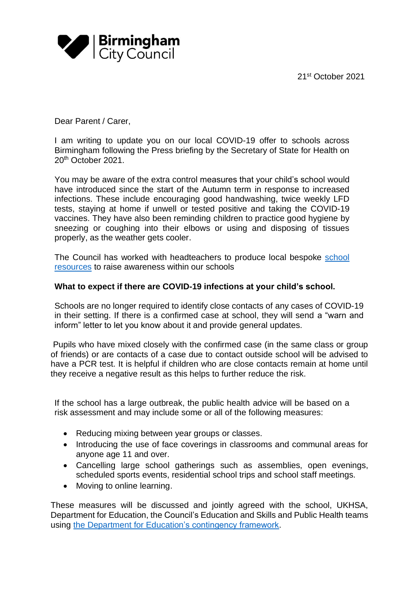21 st October 2021



Dear Parent / Carer,

I am writing to update you on our local COVID-19 offer to schools across Birmingham following the Press briefing by the Secretary of State for Health on 20th October 2021.

You may be aware of the extra control measures that your child's school would have introduced since the start of the Autumn term in response to increased infections. These include encouraging good handwashing, twice weekly LFD tests, staying at home if unwell or tested positive and taking the COVID-19 vaccines. They have also been reminding children to practice good hygiene by sneezing or coughing into their elbows or using and disposing of tissues properly, as the weather gets cooler.

The Council has worked with headteachers to produce local bespoke [school](https://www.birmingham.gov.uk/downloads/download/4334/covid_back_to_school_posters)  [resources](https://www.birmingham.gov.uk/downloads/download/4334/covid_back_to_school_posters) to raise awareness within our schools

## **What to expect if there are COVID-19 infections at your child's school.**

Schools are no longer required to identify close contacts of any cases of COVID-19 in their setting. If there is a confirmed case at school, they will send a "warn and inform" letter to let you know about it and provide general updates.

Pupils who have mixed closely with the confirmed case (in the same class or group of friends) or are contacts of a case due to contact outside school will be advised to have a PCR test. It is helpful if children who are close contacts remain at home until they receive a negative result as this helps to further reduce the risk.

If the school has a large outbreak, the public health advice will be based on a risk assessment and may include some or all of the following measures:

- Reducing mixing between year groups or classes.
- Introducing the use of face coverings in classrooms and communal areas for anyone age 11 and over.
- Cancelling large school gatherings such as assemblies, open evenings, scheduled sports events, residential school trips and school staff meetings.
- Moving to online learning.

These measures will be discussed and jointly agreed with the school, UKHSA, Department for Education, the Council's Education and Skills and Public Health teams using [the Department for Education's contingency framework.](https://www.gov.uk/government/publications/coronavirus-covid-19-local-restrictions-in-education-and-childcare-settings/contingency-framework-education-and-childcare-settings)